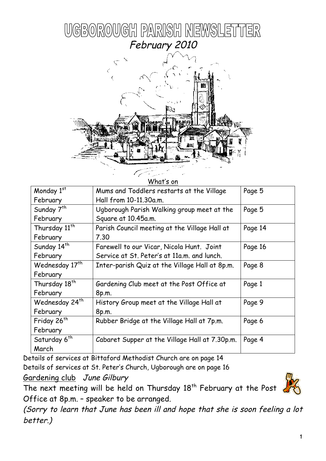



| What's on                  |                                                |         |  |  |
|----------------------------|------------------------------------------------|---------|--|--|
| Monday 1st                 | Mums and Toddlers restarts at the Village      | Page 5  |  |  |
| February                   | Hall from 10-11.30a.m.                         |         |  |  |
| Sunday 7 <sup>th</sup>     | Ugborough Parish Walking group meet at the     | Page 5  |  |  |
| February                   | Square at 10.45a.m.                            |         |  |  |
| Thursday 11 <sup>th</sup>  | Parish Council meeting at the Village Hall at  | Page 14 |  |  |
| February                   | 7.30                                           |         |  |  |
| Sunday 14 <sup>th</sup>    | Farewell to our Vicar, Nicola Hunt. Joint      | Page 16 |  |  |
| February                   | Service at St. Peter's at 11a.m. and lunch.    |         |  |  |
| Wednesday 17 <sup>th</sup> | Inter-parish Quiz at the Village Hall at 8p.m. | Page 8  |  |  |
| February                   |                                                |         |  |  |
| Thursday 18 <sup>th</sup>  | Gardening Club meet at the Post Office at      | Page 1  |  |  |
| February                   | 8p.m.                                          |         |  |  |
| Wednesday 24 <sup>th</sup> | History Group meet at the Village Hall at      | Page 9  |  |  |
| February                   | 8p.m.                                          |         |  |  |
| Friday 26 <sup>th</sup>    | Rubber Bridge at the Village Hall at 7p.m.     | Page 6  |  |  |
| February                   |                                                |         |  |  |
| Saturday 6 <sup>th</sup>   | Cabaret Supper at the Village Hall at 7.30p.m. | Page 4  |  |  |
| March                      |                                                |         |  |  |

Details of services at Bittaford Methodist Church are on page 14 Details of services at St. Peter's Church, Ugborough are on page 16 Gardening club June Gilbury

The next meeting will be held on Thursday 18<sup>th</sup> February at the Post Office at 8p.m. – speaker to be arranged.

(Sorry to learn that June has been ill and hope that she is soon feeling a lot better.)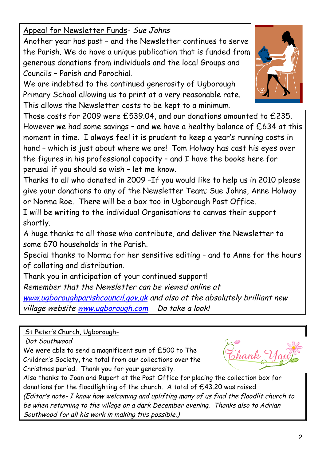Appeal for Newsletter Funds- Sue Johns

Another year has past – and the Newsletter continues to serve the Parish. We do have a unique publication that is funded from generous donations from individuals and the local Groups and Councils – Parish and Parochial.

We are indebted to the continued generosity of Ugborough Primary School allowing us to print at a very reasonable rate. This allows the Newsletter costs to be kept to a minimum.

Those costs for 2009 were £539.04, and our donations amounted to £235. However we had some savings – and we have a healthy balance of £634 at this moment in time. I always feel it is prudent to keep a year's running costs in hand – which is just about where we are! Tom Holway has cast his eyes over the figures in his professional capacity – and I have the books here for perusal if you should so wish – let me know.

Thanks to all who donated in 2009 –If you would like to help us in 2010 please give your donations to any of the Newsletter Team; Sue Johns, Anne Holway or Norma Roe. There will be a box too in Ugborough Post Office.

I will be writing to the individual Organisations to canvas their support shortly.

A huge thanks to all those who contribute, and deliver the Newsletter to some 670 households in the Parish.

Special thanks to Norma for her sensitive editing – and to Anne for the hours of collating and distribution.

Thank you in anticipation of your continued support!

Remember that the Newsletter can be viewed online at

www.ugboroughparishcouncil.gov.uk and also at the absolutely brilliant new village website www.ugborough.com Do take a look!

St Peter's Church, Ugborough-

Dot Southwood

We were able to send a magnificent sum of £500 to The Children's Society, the total from our collections over the Christmas period. Thank you for your generosity.

Also thanks to Joan and Rupert at the Post Office for placing the collection box for donations for the floodlighting of the church. A total of £43.20 was raised.

(Editor's note- I know how welcoming and uplifting many of us find the floodlit church to be when returning to the village on a dark December evening. Thanks also to Adrian Southwood for all his work in making this possible.)

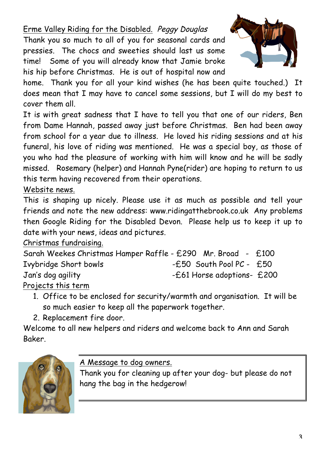Erme Valley Riding for the Disabled. Peggy Douglas

Thank you so much to all of you for seasonal cards and pressies. The chocs and sweeties should last us some time! Some of you will already know that Jamie broke his hip before Christmas. He is out of hospital now and



home. Thank you for all your kind wishes (he has been quite touched.) It does mean that I may have to cancel some sessions, but I will do my best to cover them all.

It is with great sadness that I have to tell you that one of our riders, Ben from Dame Hannah, passed away just before Christmas. Ben had been away from school for a year due to illness. He loved his riding sessions and at his funeral, his love of riding was mentioned. He was a special boy, as those of you who had the pleasure of working with him will know and he will be sadly missed. Rosemary (helper) and Hannah Pyne(rider) are hoping to return to us this term having recovered from their operations.

Website news.

This is shaping up nicely. Please use it as much as possible and tell your friends and note the new address: www.ridingatthebrook.co.uk Any problems then Google Riding for the Disabled Devon. Please help us to keep it up to date with your news, ideas and pictures.

#### Christmas fundraising.

| Sarah Weekes Christmas Hamper Raffle - £290 Mr. Broad - £100 |                              |  |
|--------------------------------------------------------------|------------------------------|--|
| Ivybridge Short bowls                                        | $-E50$ South Pool PC - $E50$ |  |
| Jan's dog agility                                            | -£61 Horse adoptions- £200   |  |
| <u>Projects this term</u>                                    |                              |  |

1. Office to be enclosed for security/warmth and organisation. It will be so much easier to keep all the paperwork together.

2. Replacement fire door.

Welcome to all new helpers and riders and welcome back to Ann and Sarah Baker.



A Message to dog owners.

Thank you for cleaning up after your dog- but please do not hang the bag in the hedgerow!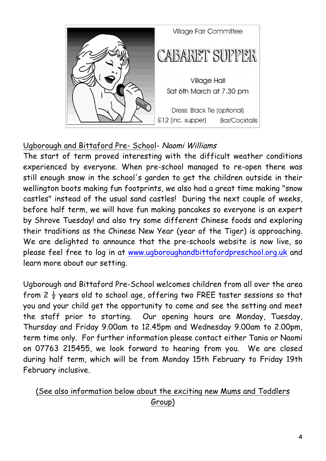

### Ugborough and Bittaford Pre- School- Naomi Williams

The start of term proved interesting with the difficult weather conditions experienced by everyone. When pre-school managed to re-open there was still enough snow in the school's garden to get the children outside in their wellington boots making fun footprints, we also had a great time making "snow castles" instead of the usual sand castles! During the next couple of weeks, before half term, we will have fun making pancakes so everyone is an expert by Shrove Tuesday! and also try some different Chinese foods and exploring their traditions as the Chinese New Year (year of the Tiger) is approaching. We are delighted to announce that the pre-schools website is now live, so please feel free to log in at www.ugboroughandbittafordpreschool.org.uk and learn more about our setting.

Ugborough and Bittaford Pre-School welcomes children from all over the area from 2  $\frac{1}{2}$  years old to school age, offering two FREE taster sessions so that you and your child get the opportunity to come and see the setting and meet the staff prior to starting. Our opening hours are Monday, Tuesday, Thursday and Friday 9.00am to 12.45pm and Wednesday 9.00am to 2.00pm, term time only. For further information please contact either Tania or Naomi on 07763 215455, we look forward to hearing from you. We are closed during half term, which will be from Monday 15th February to Friday 19th February inclusive.

### (See also information below about the exciting new Mums and Toddlers Group)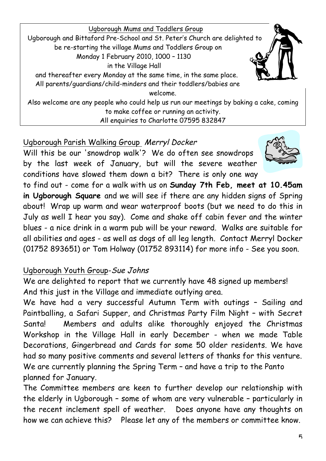

All enquiries to Charlotte 07595 832847

#### Ugborough Parish Walking Group Merryl Docker

Will this be our 'snowdrop walk'? We do often see snowdrops by the last week of January, but will the severe weather conditions have slowed them down a bit? There is only one way



to find out - come for a walk with us on **Sunday 7th Feb, meet at 10.45am in Ugborough Square** and we will see if there are any hidden signs of Spring about! Wrap up warm and wear waterproof boots (but we need to do this in July as well I hear you say). Come and shake off cabin fever and the winter blues - a nice drink in a warm pub will be your reward. Walks are suitable for all abilities and ages - as well as dogs of all leg length. Contact Merryl Docker (01752 893651) or Tom Holway (01752 893114) for more info - See you soon.

### Ugborough Youth Group-Sue Johns

We are delighted to report that we currently have 48 signed up members! And this just in the Village and immediate outlying area.

We have had a very successful Autumn Term with outings – Sailing and Paintballing, a Safari Supper, and Christmas Party Film Night – with Secret Santa! Members and adults alike thoroughly enjoyed the Christmas Workshop in the Village Hall in early December - when we made Table Decorations, Gingerbread and Cards for some 50 older residents. We have had so many positive comments and several letters of thanks for this venture. We are currently planning the Spring Term – and have a trip to the Panto planned for January.

The Committee members are keen to further develop our relationship with the elderly in Ugborough – some of whom are very vulnerable – particularly in the recent inclement spell of weather. Does anyone have any thoughts on how we can achieve this? Please let any of the members or committee know.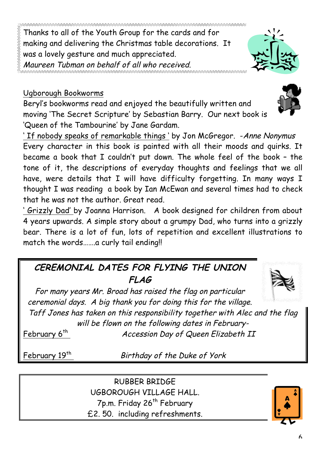Thanks to all of the Youth Group for the cards and for making and delivering the Christmas table decorations. It was a lovely gesture and much appreciated. Maureen Tubman on behalf of all who received.

#### Ugborough Bookworms

Beryl's bookworms read and enjoyed the beautifully written and moving 'The Secret Scripture' by Sebastian Barry. Our next book is 'Queen of the Tambourine' by Jane Gardam.

' If nobody speaks of remarkable things ' by Jon McGregor. - Anne Nonymus Every character in this book is painted with all their moods and quirks. It became a book that I couldn't put down. The whole feel of the book – the tone of it, the descriptions of everyday thoughts and feelings that we all have, were details that I will have difficulty forgetting. In many ways I thought I was reading a book by Ian McEwan and several times had to check that he was not the author. Great read.

' Grizzly Dad' by Joanna Harrison. A book designed for children from about 4 years upwards. A simple story about a grumpy Dad, who turns into a grizzly bear. There is a lot of fun, lots of repetition and excellent illustrations to match the words.......a curly tail ending!!

# **CEREMONIAL DATES FOR FLYING THE UNION FLAG**

For many years Mr. Broad has raised the flag on particular ceremonial days. A big thank you for doing this for the village.

Taff Jones has taken on this responsibility together with Alec and the flag will be flown on the following dates in February-

February 6<sup>th</sup> Accession Day of Queen Elizabeth II

February  $19^{th}$  Birthday of the Duke of York

RUBBER BRIDGE UGBOROUGH VILLAGE HALL. 7p.m. Friday 26<sup>th</sup> February £2. 50. including refreshments.





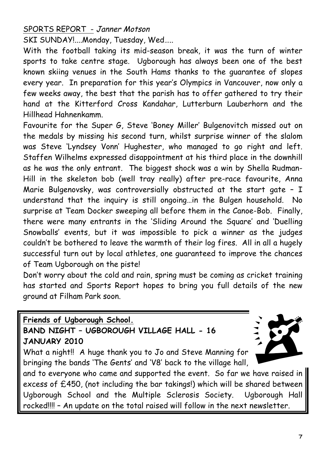#### SPORTS REPORT - Janner Motson

SKI SUNDAY!....Monday, Tuesday, Wed…..

With the football taking its mid-season break, it was the turn of winter sports to take centre stage. Ugborough has always been one of the best known skiing venues in the South Hams thanks to the guarantee of slopes every year. In preparation for this year's Olympics in Vancouver, now only a few weeks away, the best that the parish has to offer gathered to try their hand at the Kitterford Cross Kandahar, Lutterburn Lauberhorn and the Hillhead Hahnenkamm.

Favourite for the Super G, Steve 'Boney Miller' Bulgenovitch missed out on the medals by missing his second turn, whilst surprise winner of the slalom was Steve 'Lyndsey Vonn' Hughester, who managed to go right and left. Staffen Wilhelms expressed disappointment at his third place in the downhill as he was the only entrant. The biggest shock was a win by Shella Rudman-Hill in the skeleton bob (well tray really) after pre-race favourite, Anna Marie Bulgenovsky, was controversially obstructed at the start gate - I understand that the inquiry is still ongoing…in the Bulgen household. No surprise at Team Docker sweeping all before them in the Canoe-Bob. Finally, there were many entrants in the 'Sliding Around the Square' and 'Duelling Snowballs' events, but it was impossible to pick a winner as the judges couldn't be bothered to leave the warmth of their log fires. All in all a hugely successful turn out by local athletes, one guaranteed to improve the chances of Team Ugborough on the piste!

Don't worry about the cold and rain, spring must be coming as cricket training has started and Sports Report hopes to bring you full details of the new ground at Filham Park soon.

**Friends of Ugborough School.**

### **BAND NIGHT – UGBOROUGH VILLAGE HALL - 16 JANUARY 2010**

What a night!! A huge thank you to Jo and Steve Manning for bringing the bands 'The Gents' and 'V8' back to the village hall,



and to everyone who came and supported the event. So far we have raised in excess of £450, (not including the bar takings!) which will be shared between Ugborough School and the Multiple Sclerosis Society. Ugborough Hall rocked!!!! – An update on the total raised will follow in the next newsletter.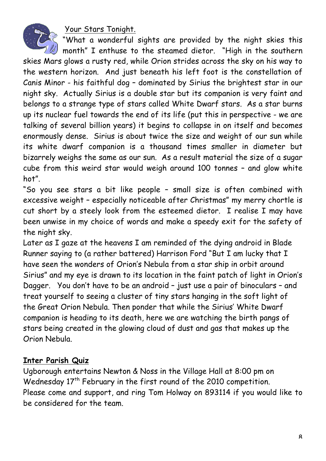Your Stars Tonight.



"What a wonderful sights are provided by the night skies this

 $\parallel$  month" I enthuse to the steamed dietor. "High in the southern skies Mars glows a rusty red, while Orion strides across the sky on his way to the western horizon. And just beneath his left foot is the constellation of Canis Minor - his faithful dog – dominated by Sirius the brightest star in our night sky. Actually Sirius is a double star but its companion is very faint and belongs to a strange type of stars called White Dwarf stars. As a star burns up its nuclear fuel towards the end of its life (put this in perspective - we are talking of several billion years) it begins to collapse in on itself and becomes enormously dense. Sirius is about twice the size and weight of our sun while its white dwarf companion is a thousand times smaller in diameter but bizarrely weighs the same as our sun. As a result material the size of a sugar cube from this weird star would weigh around 100 tonnes – and glow white hot".

"So you see stars a bit like people – small size is often combined with excessive weight – especially noticeable after Christmas" my merry chortle is cut short by a steely look from the esteemed dietor. I realise I may have been unwise in my choice of words and make a speedy exit for the safety of the night sky.

Later as I gaze at the heavens I am reminded of the dying android in Blade Runner saying to (a rather battered) Harrison Ford "But I am lucky that I have seen the wonders of Orion's Nebula from a star ship in orbit around Sirius" and my eye is drawn to its location in the faint patch of light in Orion's Dagger. You don't have to be an android – just use a pair of binoculars – and treat yourself to seeing a cluster of tiny stars hanging in the soft light of the Great Orion Nebula. Then ponder that while the Sirius' White Dwarf companion is heading to its death, here we are watching the birth pangs of stars being created in the glowing cloud of dust and gas that makes up the Orion Nebula.

#### **Inter Parish Quiz**

Ugborough entertains Newton & Noss in the Village Hall at 8:00 pm on Wednesday 17<sup>th</sup> February in the first round of the 2010 competition. Please come and support, and ring Tom Holway on 893114 if you would like to be considered for the team.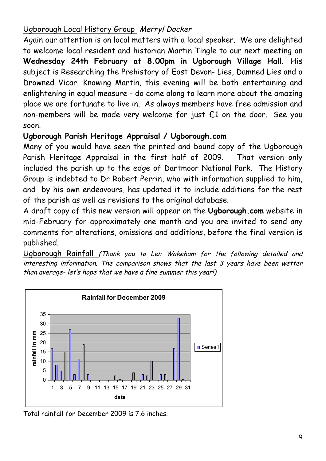### Ugborough Local History Group Merryl Docker

Again our attention is on local matters with a local speaker. We are delighted to welcome local resident and historian Martin Tingle to our next meeting on **Wednesday 24th February at 8.00pm in Ugborough Village Hall**. His subject is Researching the Prehistory of East Devon- Lies, Damned Lies and a Drowned Vicar. Knowing Martin, this evening will be both entertaining and enlightening in equal measure - do come along to learn more about the amazing place we are fortunate to live in. As always members have free admission and non-members will be made very welcome for just £1 on the door. See you soon.

## **Ugborough Parish Heritage Appraisal / Ugborough.com**

Many of you would have seen the printed and bound copy of the Ugborough Parish Heritage Appraisal in the first half of 2009. That version only included the parish up to the edge of Dartmoor National Park. The History Group is indebted to Dr Robert Perrin, who with information supplied to him, and by his own endeavours, has updated it to include additions for the rest of the parish as well as revisions to the original database.

A draft copy of this new version will appear on the **Ugborough.com** website in mid-February for approximately one month and you are invited to send any comments for alterations, omissions and additions, before the final version is published.

Ugborough Rainfall (Thank you to Len Wakeham for the following detailed and interesting information. The comparison shows that the last 3 years have been wetter than average- let's hope that we have a fine summer this year!)



Total rainfall for December 2009 is 7.6 inches.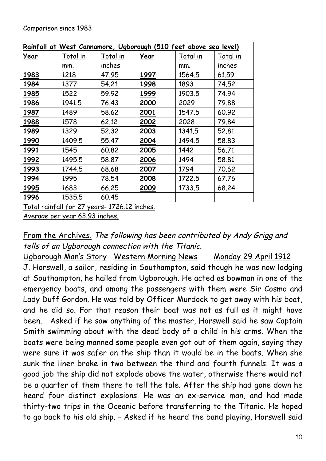| Rainfall at West Cannamore, Ugborough (510 feet above sea level) |          |          |      |          |          |
|------------------------------------------------------------------|----------|----------|------|----------|----------|
| Year                                                             | Total in | Total in | Year | Total in | Total in |
|                                                                  | mm.      | inches   |      | mm.      | inches   |
| 1983                                                             | 1218     | 47.95    | 1997 | 1564.5   | 61.59    |
| 1984                                                             | 1377     | 54.21    | 1998 | 1893     | 74.52    |
| 1985                                                             | 1522     | 59.92    | 1999 | 1903.5   | 74.94    |
| 1986                                                             | 1941.5   | 76.43    | 2000 | 2029     | 79.88    |
| 1987                                                             | 1489     | 58.62    | 2001 | 1547.5   | 60.92    |
| 1988                                                             | 1578     | 62.12    | 2002 | 2028     | 79.84    |
| 1989                                                             | 1329     | 52.32    | 2003 | 1341.5   | 52.81    |
| 1990                                                             | 1409.5   | 55.47    | 2004 | 1494.5   | 58.83    |
| 1991                                                             | 1545     | 60.82    | 2005 | 1442     | 56.71    |
| 1992                                                             | 1495.5   | 58.87    | 2006 | 1494     | 58.81    |
| 1993                                                             | 1744.5   | 68.68    | 2007 | 1794     | 70.62    |
| 1994                                                             | 1995     | 78.54    | 2008 | 1722.5   | 67.76    |
| 1995                                                             | 1683     | 66.25    | 2009 | 1733.5   | 68.24    |
| 1996                                                             | 1535.5   | 60.45    |      |          |          |

Total rainfall for 27 years- 1726.12 inches.

Average per year 63.93 inches.

### From the Archives. The following has been contributed by Andy Grigg and tells of an Ugborough connection with the Titanic.

Ugborough Man's Story Western Morning News Monday 29 April 1912 J. Horswell, a sailor, residing in Southampton, said though he was now lodging at Southampton, he hailed from Ugborough. He acted as bowman in one of the emergency boats, and among the passengers with them were Sir Cosmo and Lady Duff Gordon. He was told by Officer Murdock to get away with his boat, and he did so. For that reason their boat was not as full as it might have been. Asked if he saw anything of the master, Horswell said he saw Captain Smith swimming about with the dead body of a child in his arms. When the boats were being manned some people even got out of them again, saying they were sure it was safer on the ship than it would be in the boats. When she sunk the liner broke in two between the third and fourth funnels. It was a good job the ship did not explode above the water, otherwise there would not be a quarter of them there to tell the tale. After the ship had gone down he heard four distinct explosions. He was an ex-service man, and had made thirty-two trips in the Oceanic before transferring to the Titanic. He hoped to go back to his old ship. – Asked if he heard the band playing, Horswell said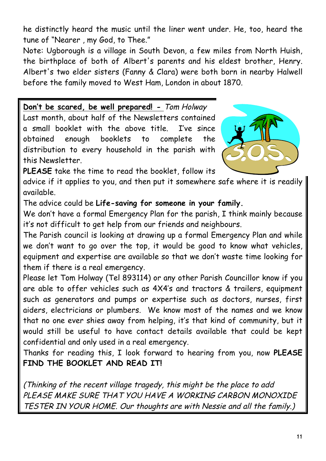he distinctly heard the music until the liner went under. He, too, heard the tune of "Nearer , my God, to Thee."

Note: Ugborough is a village in South Devon, a few miles from North Huish, the birthplace of both of Albert's parents and his eldest brother, Henry. Albert's two elder sisters (Fanny & Clara) were both born in nearby Halwell before the family moved to West Ham, London in about 1870.

**Don't be scared, be well prepared! -** Tom Holway Last month, about half of the Newsletters contained a small booklet with the above title. I've since obtained enough booklets to complete the distribution to every household in the parish with this Newsletter.



**PLEASE** take the time to read the booklet, follow its

advice if it applies to you, and then put it somewhere safe where it is readily available.

The advice could be **Life-saving for someone in your family.**

We don't have a formal Emergency Plan for the parish, I think mainly because it's not difficult to get help from our friends and neighbours.

The Parish council is looking at drawing up a formal Emergency Plan and while we don't want to go over the top, it would be good to know what vehicles, equipment and expertise are available so that we don't waste time looking for them if there is a real emergency.

Please let Tom Holway (Tel 893114) or any other Parish Councillor know if you are able to offer vehicles such as 4X4's and tractors & trailers, equipment such as generators and pumps or expertise such as doctors, nurses, first aiders, electricians or plumbers. We know most of the names and we know that no one ever shies away from helping, it's that kind of community, but it would still be useful to have contact details available that could be kept confidential and only used in a real emergency.

Thanks for reading this, I look forward to hearing from you, now **PLEASE FIND THE BOOKLET AND READ IT!**

(Thinking of the recent village tragedy, this might be the place to add PLEASE MAKE SURE THAT YOU HAVE A WORKING CARBON MONOXIDE TESTER IN YOUR HOME. Our thoughts are with Nessie and all the family.)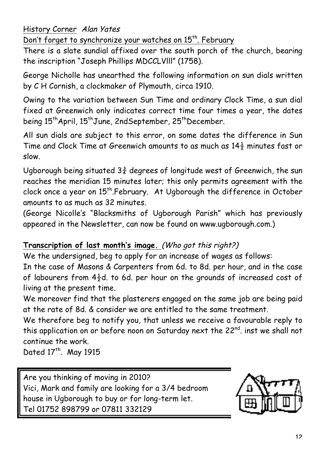History Corner Alan Yates

Don't forget to synchronize your watches on 15<sup>th</sup>. February

There is a slate sundial affixed over the south porch of the church, bearing the inscription "Joseph Phillips MDCCLVlll" (1758).

George Nicholle has unearthed the following information on sun dials written by C H Cornish, a clockmaker of Plymouth, circa 1910.

Owing to the variation between Sun Time and ordinary Clock Time, a sun dial fixed at Greenwich only indicates correct time four times a year, the dates being 15<sup>th</sup>April, 15<sup>th</sup>June, 2ndSeptember, 25<sup>th</sup>December.

All sun dials are subject to this error, on some dates the difference in Sun Time and Clock Time at Greenwich amounts to as much as  $14\frac{1}{2}$  minutes fast or slow.

Ugborough being situated  $3\frac{3}{4}$  degrees of longitude west of Greenwich, the sun reaches the meridian 15 minutes later; this only permits agreement with the clock once a year on 15<sup>th</sup>.February. At Ugborough the difference in October amounts to as much as 32 minutes.

(George Nicolle's "Blacksmiths of Ugborough Parish" which has previously appeared in the Newsletter, can now be found on www.ugborough.com.)

### **Transcription of last month's image.** (Who got this right?)

We the undersigned, beg to apply for an increase of wages as follows:

In the case of Masons & Carpenters from 6d. to 8d. per hour, and in the case of labourers from  $4\frac{1}{2}d$ . to 6d. per hour on the grounds of increased cost of living at the present time.

We moreover find that the plasterers engaged on the same job are being paid at the rate of 8d. & consider we are entitled to the same treatment.

We therefore beg to notify you, that unless we receive a favourable reply to this application on or before noon on Saturday next the 22<sup>nd</sup>. inst we shall not continue the work.

Dated 17<sup>th</sup>. May 1915

Are you thinking of moving in 2010? Vici, Mark and family are looking for a 3/4 bedroom house in Ugborough to buy or for long-term let. Tel 01752 898799 or 07811 332129

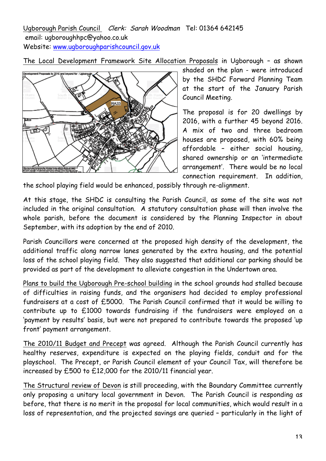Ugborough Parish Council Clerk: Sarah Woodman Tel: 01364 642145 email: ugboroughhpc@yahoo.co.uk Website: www.ugboroughparishcouncil.gov.uk

The Local Development Framework Site Allocation Proposals in Ugborough – as shown



shaded on the plan - were introduced by the SHDC Forward Planning Team at the start of the January Parish Council Meeting.

The proposal is for 20 dwellings by 2016, with a further 45 beyond 2016. A mix of two and three bedroom houses are proposed, with 60% being affordable – either social housing, shared ownership or an 'intermediate arrangement'. There would be no local connection requirement. In addition,

the school playing field would be enhanced, possibly through re-alignment.

At this stage, the SHDC is consulting the Parish Council, as some of the site was not included in the original consultation. A statutory consultation phase will then involve the whole parish, before the document is considered by the Planning Inspector in about September, with its adoption by the end of 2010.

Parish Councillors were concerned at the proposed high density of the development, the additional traffic along narrow lanes generated by the extra housing, and the potential loss of the school playing field. They also suggested that additional car parking should be provided as part of the development to alleviate congestion in the Undertown area.

Plans to build the Ugborough Pre-school building in the school grounds had stalled because of difficulties in raising funds, and the organisers had decided to employ professional fundraisers at a cost of £5000. The Parish Council confirmed that it would be willing to contribute up to £1000 towards fundraising if the fundraisers were employed on a 'payment by results' basis, but were not prepared to contribute towards the proposed 'up front' payment arrangement.

The 2010/11 Budget and Precept was agreed. Although the Parish Council currently has healthy reserves, expenditure is expected on the playing fields, conduit and for the playschool. The Precept, or Parish Council element of your Council Tax, will therefore be increased by £500 to £12,000 for the 2010/11 financial year.

The Structural review of Devon is still proceeding, with the Boundary Committee currently only proposing a unitary local government in Devon. The Parish Council is responding as before, that there is no merit in the proposal for local communities, which would result in a loss of representation, and the projected savings are queried – particularly in the light of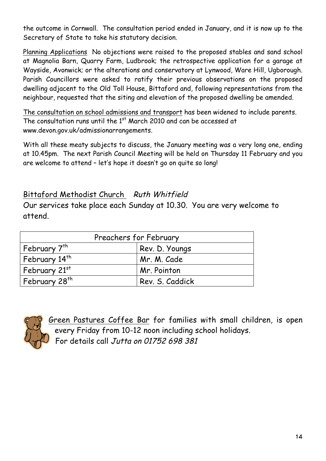the outcome in Cornwall. The consultation period ended in January, and it is now up to the Secretary of State to take his statutory decision.

Planning Applications No objections were raised to the proposed stables and sand school at Magnolia Barn, Quarry Farm, Ludbrook; the retrospective application for a garage at Wayside, Avonwick; or the alterations and conservatory at Lynwood, Ware Hill, Ugborough. Parish Councillors were asked to ratify their previous observations on the proposed dwelling adjacent to the Old Toll House, Bittaford and, following representations from the neighbour, requested that the siting and elevation of the proposed dwelling be amended.

The consultation on school admissions and transport has been widened to include parents. The consultation runs until the  $1<sup>st</sup>$  March 2010 and can be accessed at www.devon.gov.uk/admissionarrangements.

With all these meaty subjects to discuss, the January meeting was a very long one, ending at 10.45pm. The next Parish Council Meeting will be held on Thursday 11 February and you are welcome to attend – let's hope it doesn't go on quite so long!

#### Bittaford Methodist Church Ruth Whitfield

Our services take place each Sunday at 10.30. You are very welcome to attend.

| Preachers for February    |                 |  |  |
|---------------------------|-----------------|--|--|
| February 7 <sup>th</sup>  | Rev. D. Youngs  |  |  |
| February 14 <sup>th</sup> | Mr. M. Cade     |  |  |
| February 21st             | Mr. Pointon     |  |  |
| February 28 <sup>th</sup> | Rev. S. Caddick |  |  |



Green Pastures Coffee Bar for families with small children, is open every Friday from 10-12 noon including school holidays. For details call Jutta on 01752 698 381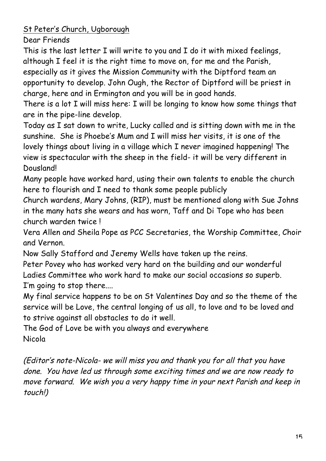St Peter's Church, Ugborough

Dear Friends

This is the last letter I will write to you and I do it with mixed feelings, although I feel it is the right time to move on, for me and the Parish, especially as it gives the Mission Community with the Diptford team an opportunity to develop. John Ough, the Rector of Diptford will be priest in charge, here and in Ermington and you will be in good hands.

There is a lot I will miss here: I will be longing to know how some things that are in the pipe-line develop.

Today as I sat down to write, Lucky called and is sitting down with me in the sunshine. She is Phoebe's Mum and I will miss her visits, it is one of the lovely things about living in a village which I never imagined happening! The view is spectacular with the sheep in the field- it will be very different in Dousland!

Many people have worked hard, using their own talents to enable the church here to flourish and I need to thank some people publicly

Church wardens, Mary Johns, (RIP), must be mentioned along with Sue Johns in the many hats she wears and has worn, Taff and Di Tope who has been church warden twice !

Vera Allen and Sheila Pope as PCC Secretaries, the Worship Committee, Choir and Vernon.

Now Sally Stafford and Jeremy Wells have taken up the reins.

Peter Povey who has worked very hard on the building and our wonderful Ladies Committee who work hard to make our social occasions so superb. I'm going to stop there....

My final service happens to be on St Valentines Day and so the theme of the service will be Love, the central longing of us all, to love and to be loved and to strive against all obstacles to do it well.

The God of Love be with you always and everywhere Nicola

(Editor's note-Nicola- we will miss you and thank you for all that you have done. You have led us through some exciting times and we are now ready to move forward. We wish you a very happy time in your next Parish and keep in touch!)